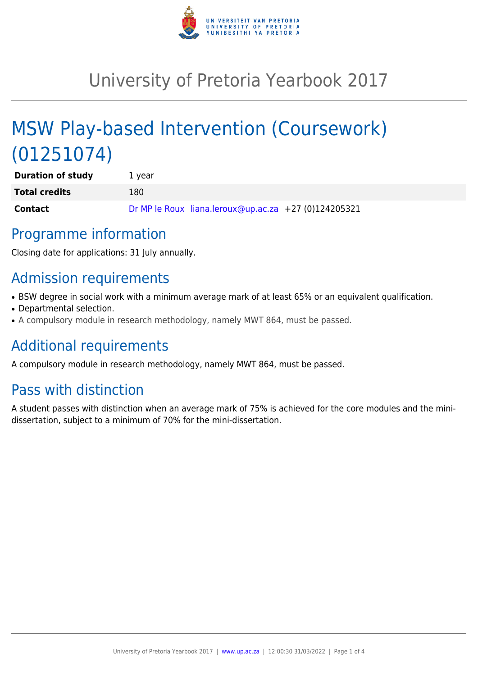

# University of Pretoria Yearbook 2017

# MSW Play-based Intervention (Coursework) (01251074)

| <b>Duration of study</b> | 1 year |                                                      |  |
|--------------------------|--------|------------------------------------------------------|--|
| <b>Total credits</b>     | 180    |                                                      |  |
| <b>Contact</b>           |        | Dr MP le Roux liana.leroux@up.ac.za +27 (0)124205321 |  |

### Programme information

Closing date for applications: 31 July annually.

## Admission requirements

- BSW degree in social work with a minimum average mark of at least 65% or an equivalent qualification.
- Departmental selection.
- A compulsory module in research methodology, namely MWT 864, must be passed.

# Additional requirements

A compulsory module in research methodology, namely MWT 864, must be passed.

# Pass with distinction

A student passes with distinction when an average mark of 75% is achieved for the core modules and the minidissertation, subject to a minimum of 70% for the mini-dissertation.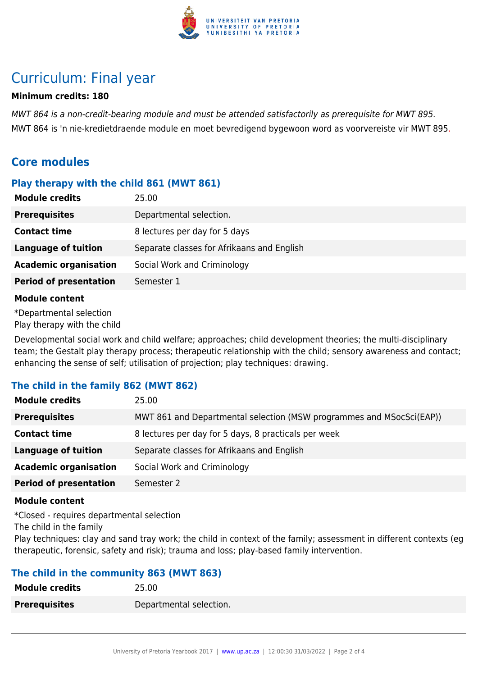

### Curriculum: Final year

#### **Minimum credits: 180**

MWT 864 is a non-credit-bearing module and must be attended satisfactorily as prerequisite for MWT 895. MWT 864 is 'n nie-kredietdraende module en moet bevredigend bygewoon word as voorvereiste vir MWT 895.

#### **Core modules**

#### **Play therapy with the child 861 (MWT 861)**

| <b>Module credits</b>         | 25.00                                      |
|-------------------------------|--------------------------------------------|
| <b>Prerequisites</b>          | Departmental selection.                    |
| <b>Contact time</b>           | 8 lectures per day for 5 days              |
| <b>Language of tuition</b>    | Separate classes for Afrikaans and English |
| <b>Academic organisation</b>  | Social Work and Criminology                |
| <b>Period of presentation</b> | Semester 1                                 |
| <b>Module content</b>         |                                            |

\*Departmental selection Play therapy with the child

Developmental social work and child welfare; approaches; child development theories; the multi-disciplinary team; the Gestalt play therapy process; therapeutic relationship with the child; sensory awareness and contact; enhancing the sense of self; utilisation of projection; play techniques: drawing.

#### **The child in the family 862 (MWT 862)**

| <b>Module credits</b>         | 25.00                                                                |
|-------------------------------|----------------------------------------------------------------------|
| <b>Prerequisites</b>          | MWT 861 and Departmental selection (MSW programmes and MSocSci(EAP)) |
| <b>Contact time</b>           | 8 lectures per day for 5 days, 8 practicals per week                 |
| <b>Language of tuition</b>    | Separate classes for Afrikaans and English                           |
| <b>Academic organisation</b>  | Social Work and Criminology                                          |
| <b>Period of presentation</b> | Semester 2                                                           |

#### **Module content**

\*Closed - requires departmental selection The child in the family

Play techniques: clay and sand tray work; the child in context of the family; assessment in different contexts (eg therapeutic, forensic, safety and risk); trauma and loss; play-based family intervention.

#### **The child in the community 863 (MWT 863)**

| <b>Module credits</b> | 25.00                   |
|-----------------------|-------------------------|
| <b>Prerequisites</b>  | Departmental selection. |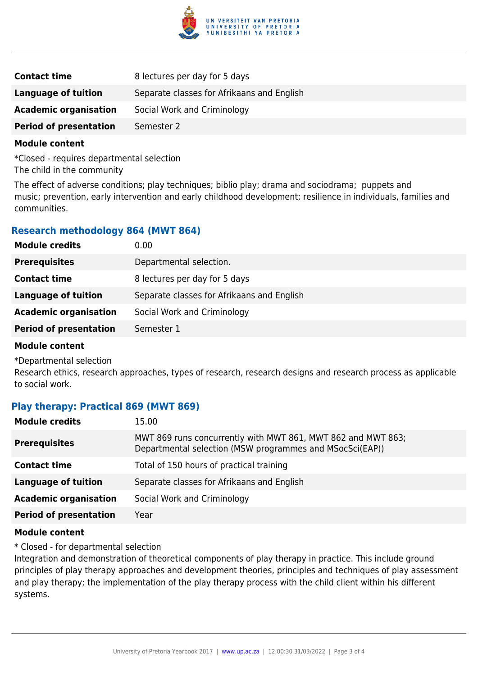

| <b>Contact time</b>           | 8 lectures per day for 5 days              |
|-------------------------------|--------------------------------------------|
| Language of tuition           | Separate classes for Afrikaans and English |
| <b>Academic organisation</b>  | Social Work and Criminology                |
| <b>Period of presentation</b> | Semester 2                                 |

#### **Module content**

\*Closed - requires departmental selection The child in the community

The effect of adverse conditions; play techniques; biblio play; drama and sociodrama; puppets and music; prevention, early intervention and early childhood development; resilience in individuals, families and communities.

#### **Research methodology 864 (MWT 864)**

| 0.00                                       |
|--------------------------------------------|
| Departmental selection.                    |
| 8 lectures per day for 5 days              |
| Separate classes for Afrikaans and English |
| Social Work and Criminology                |
| Semester 1                                 |
|                                            |

#### **Module content**

\*Departmental selection

Research ethics, research approaches, types of research, research designs and research process as applicable to social work.

#### **Play therapy: Practical 869 (MWT 869)**

| <b>Module credits</b>         | 15.00                                                                                                                    |
|-------------------------------|--------------------------------------------------------------------------------------------------------------------------|
| <b>Prerequisites</b>          | MWT 869 runs concurrently with MWT 861, MWT 862 and MWT 863;<br>Departmental selection (MSW programmes and MSocSci(EAP)) |
| <b>Contact time</b>           | Total of 150 hours of practical training                                                                                 |
| <b>Language of tuition</b>    | Separate classes for Afrikaans and English                                                                               |
| <b>Academic organisation</b>  | Social Work and Criminology                                                                                              |
| <b>Period of presentation</b> | Year                                                                                                                     |
|                               |                                                                                                                          |

#### **Module content**

\* Closed - for departmental selection

Integration and demonstration of theoretical components of play therapy in practice. This include ground principles of play therapy approaches and development theories, principles and techniques of play assessment and play therapy; the implementation of the play therapy process with the child client within his different systems.